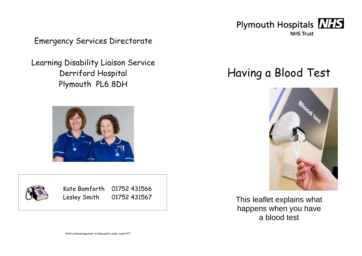

Emergency Services Directorate

Learning Disability Liaison Service Derriford Hospital Plymouth PL6 8DH





Kate Bamforth 01752 431566 Lesley Smith 01752 431567 Having a Blood Test



This leaflet explains what happens when you have a blood test

With acknowledgement to Newcastle-under-Lyme PCT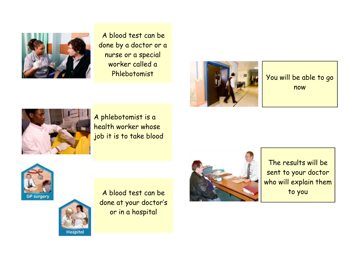

A blood test can be done by a doctor or a nurse or a special worker called a Phlebotomist



You will be able to go now



A phlebotomist is a health worker whose job it is to take blood



The results will be sent to your doctor who will explain them to you





A blood test can be done at your doctor's or in a hospital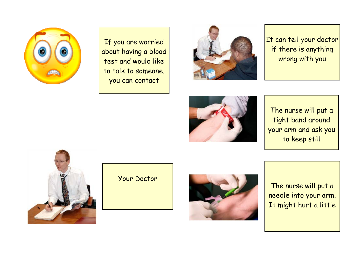

If you are worried about having a blood test and would like to talk to someone, you can contact



It can tell your doctor if there is anything wrong with you



The nurse will put a tight band around your arm and ask you to keep still



Your Doctor



The nurse will put a needle into your arm. It might hurt a little